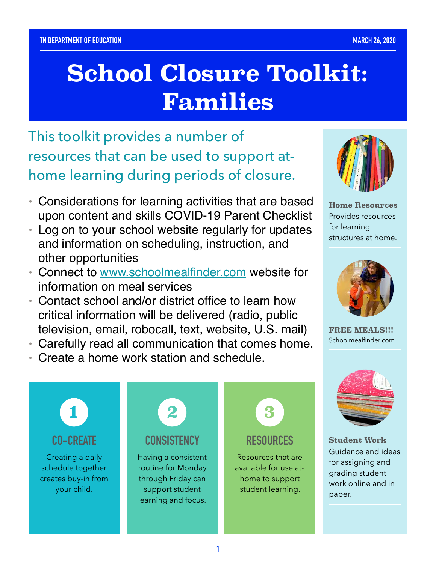# **School Closure Toolkit: Families**

 home learning during periods of closure. This toolkit provides a number of resources that can be used to support at-

- • Considerations for learning activities that are based upon content and skills COVID-19 Parent Checklist
- • Log on to your school website regularly for updates and information on scheduling, instruction, and other opportunities
- Connect to [www.schoolmealfinder.com](http://www.schoolmealfinder.com) website for information on meal services
- • Contact school and/or district office to learn how critical information will be delivered (radio, public television, email, robocall, text, website, U.S. mail)
- Carefully read all communication that comes home.
- Create a home work station and schedule.



**Home Resources**  Provides resources for learning structures at home.



**FREE MEALS!!!**  [Schoolmealfinder.com](https://Schoolmealfinder.com)



**Student Work**  Guidance and ideas for assigning and grading student work online and in paper.

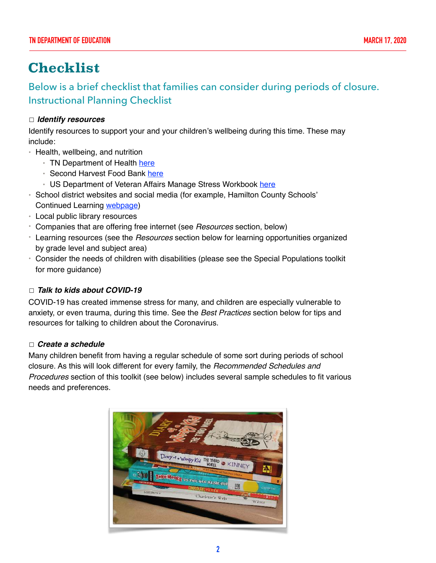# **Checklist**

Below is a brief checklist that families can consider during periods of closure. Instructional Planning Checklist

### ☐ **Identify resources**

 Identify resources to support your and your children's wellbeing during this time. These may include:

- • Health, wellbeing, and nutrition
	- TN Department of Health <u>here</u>
	- Second Harvest Food Bank [here](https://www.shfb.org/get-food/)
	- US Department of Veteran Affairs Manage Stress Workbook [here](https://drive.google.com/file/d/1PSZIlOxkbG544VQnOqxRbEb_xwMky2vS/view)
- • School district websites and social media (for example, Hamilton County Schools' Continued Learning [webpage\)](https://www.hcde.org/hcs-continued-learning)
- Local public library resources
- Companies that are offering free internet (see Resources section, below)
- Learning resources (see the Resources section below for learning opportunities organized by grade level and subject area)
- • Consider the needs of children with disabilities (please see the Special Populations toolkit for more guidance)

### □ **Talk to kids about COVID-19**

 COVID-19 has created immense stress for many, and children are especially vulnerable to anxiety, or even trauma, during this time. See the Best Practices section below for tips and resources for talking to children about the Coronavirus.

## ☐ **Create a schedule**

 Many children benefit from having a regular schedule of some sort during periods of school closure. As this will look different for every family, the *Recommended Schedules and* Procedures section of this toolkit (see below) includes several sample schedules to fit various needs and preferences.

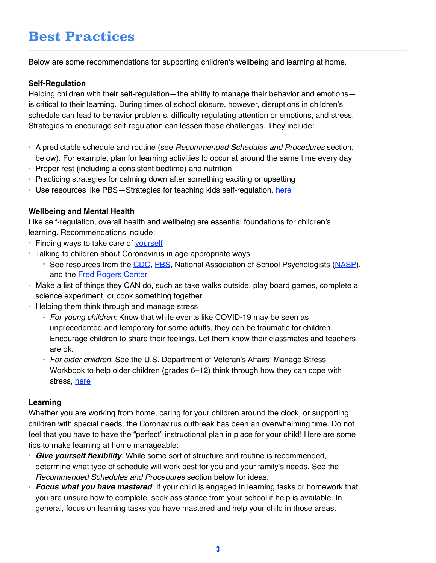# **Best Practices**

Below are some recommendations for supporting children's wellbeing and learning at home.

#### **Self-Regulation**

 Helping children with their self-regulation—the ability to manage their behavior and emotions— is critical to their learning. During times of school closure, however, disruptions in children's schedule can lead to behavior problems, difficulty regulating attention or emotions, and stress. Strategies to encourage self-regulation can lessen these challenges. They include:

- A predictable schedule and routine (see Recommended Schedules and Procedures section, below). For example, plan for learning activities to occur at around the same time every day
- Proper rest (including a consistent bedtime) and nutrition
- Practicing strategies for calming down after something exciting or upsetting
- Use resources like PBS-Strategies for teaching kids self-regulation, [here](https://www.pbs.org/parents/thrive/strategies-for-teaching-kids-self-regulation)

#### **Wellbeing and Mental Health**

 Like self-regulation, overall health and wellbeing are essential foundations for children's learning. Recommendations include:

- Finding ways to take care of [yourself](https://www.cdc.gov/coronavirus/2019-ncov/prepare/managing-stress-anxiety.html)
- • Talking to children about Coronavirus in age-appropriate ways
	- See resources from the [CDC](https://www.cdc.gov/coronavirus/2019-ncov/community/schools-childcare/talking-with-children.html), [PBS](https://www.pbs.org/parents/thrive/how-to-talk-to-your-kids-about-coronavirus), National Association of School Psychologists [\(NASP](https://www.nasponline.org/resources-and-publications/resources-and-podcasts/school-climate-safety-and-crisis/health-crisis-resources/talking-to-children-about-covid-19-(coronavirus)-a-parent-resource)), and the Fred Rogers Center
- • Make a list of things they CAN do, such as take walks outside, play board games, complete a science experiment, or cook something together
- • Helping them think through and manage stress
	- For young children: Know that while events like COVID-19 may be seen as unprecedented and temporary for some adults, they can be traumatic for children. Encourage children to share their feelings. Let them know their classmates and teachers are ok.
	- For older children: See the U.S. Department of Veteran's Affairs' Manage Stress Workbook to help older children (grades 6–12) think through how they can cope with stress, [here](https://drive.google.com/file/d/1PSZIlOxkbG544VQnOqxR)

#### **Learning**

 Whether you are working from home, caring for your children around the clock, or supporting children with special needs, the Coronavirus outbreak has been an overwhelming time. Do not feel that you have to have the "perfect" instructional plan in place for your child! Here are some tips to make learning at home manageable:

- • **Give yourself flexibility**. While some sort of structure and routine is recommended, determine what type of schedule will work best for you and your family's needs. See the Recommended Schedules and Procedures section below for ideas.
- **Focus what you have mastered**: If your child is engaged in learning tasks or homework that you are unsure how to complete, seek assistance from your school if help is available. In general, focus on learning tasks you have mastered and help your child in those areas.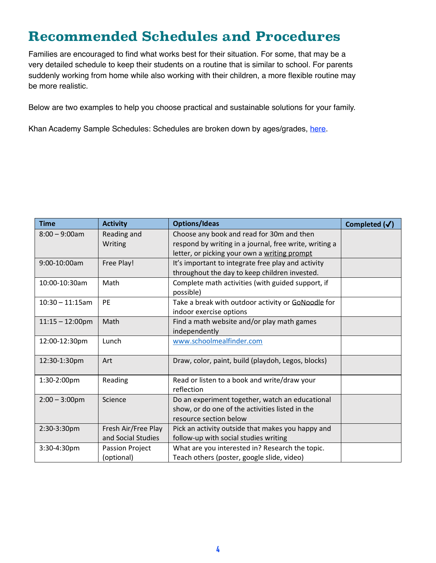# **Recommended Schedules and Procedures**

 Families are encouraged to find what works best for their situation. For some, that may be a very detailed schedule to keep their students on a routine that is similar to school. For parents suddenly working from home while also working with their children, a more flexible routine may be more realistic.

Below are two examples to help you choose practical and sustainable solutions for your family.

Khan Academy Sample Schedules: Schedules are broken down by ages/grades, [here.](https://docs.google.com/document/d/e/2PACX-1vSZhOdEPAWjUQpqDkVAlJrFwxxZ9Sa6zGOq0CNRms6Z7DZNq-tQWS3OhuVCUbh_-P-WmksHAzbsrk9d/pub)

| <b>Time</b>               | <b>Activity</b>     | <b>Options/Ideas</b>                                   | Completed $(\checkmark)$ |
|---------------------------|---------------------|--------------------------------------------------------|--------------------------|
| $8:00 - 9:00$ am          | Reading and         | Choose any book and read for 30m and then              |                          |
|                           | Writing             | respond by writing in a journal, free write, writing a |                          |
|                           |                     | letter, or picking your own a writing prompt           |                          |
| 9:00-10:00am              | Free Play!          | It's important to integrate free play and activity     |                          |
|                           |                     | throughout the day to keep children invested.          |                          |
| 10:00-10:30am             | Math                | Complete math activities (with guided support, if      |                          |
|                           |                     | possible)                                              |                          |
| $10:30 - 11:15$ am        | <b>PE</b>           | Take a break with outdoor activity or GoNoodle for     |                          |
|                           |                     | indoor exercise options                                |                          |
| $11:15 - 12:00 \text{pm}$ | Math                | Find a math website and/or play math games             |                          |
|                           |                     | independently                                          |                          |
| 12:00-12:30pm             | Lunch               | www.schoolmealfinder.com                               |                          |
|                           |                     |                                                        |                          |
| 12:30-1:30pm              | Art                 | Draw, color, paint, build (playdoh, Legos, blocks)     |                          |
|                           |                     |                                                        |                          |
| 1:30-2:00pm               | Reading             | Read or listen to a book and write/draw your           |                          |
|                           |                     | reflection                                             |                          |
| $2:00 - 3:00$ pm          | Science             | Do an experiment together, watch an educational        |                          |
|                           |                     | show, or do one of the activities listed in the        |                          |
|                           |                     | resource section below                                 |                          |
| 2:30-3:30pm               | Fresh Air/Free Play | Pick an activity outside that makes you happy and      |                          |
|                           | and Social Studies  | follow-up with social studies writing                  |                          |
| 3:30-4:30pm               | Passion Project     | What are you interested in? Research the topic.        |                          |
|                           | (optional)          | Teach others (poster, google slide, video)             |                          |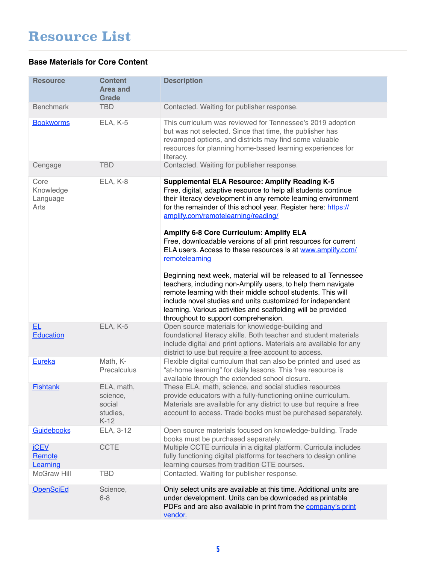#### **Base Materials for Core Content**

| <b>Resource</b>                       | <b>Content</b><br><b>Area and</b><br>Grade             | <b>Description</b>                                                                                                                                                                                                                                                                                                                                                                                                                                                                                                                                                                                                                                                                                                                                                |
|---------------------------------------|--------------------------------------------------------|-------------------------------------------------------------------------------------------------------------------------------------------------------------------------------------------------------------------------------------------------------------------------------------------------------------------------------------------------------------------------------------------------------------------------------------------------------------------------------------------------------------------------------------------------------------------------------------------------------------------------------------------------------------------------------------------------------------------------------------------------------------------|
| <b>Benchmark</b>                      | <b>TBD</b>                                             | Contacted. Waiting for publisher response.                                                                                                                                                                                                                                                                                                                                                                                                                                                                                                                                                                                                                                                                                                                        |
| <b>Bookworms</b>                      | ELA, K-5                                               | This curriculum was reviewed for Tennessee's 2019 adoption<br>but was not selected. Since that time, the publisher has<br>revamped options, and districts may find some valuable<br>resources for planning home-based learning experiences for<br>literacy.                                                                                                                                                                                                                                                                                                                                                                                                                                                                                                       |
| Cengage                               | <b>TBD</b>                                             | Contacted. Waiting for publisher response.                                                                                                                                                                                                                                                                                                                                                                                                                                                                                                                                                                                                                                                                                                                        |
| Core<br>Knowledge<br>Language<br>Arts | ELA, K-8                                               | <b>Supplemental ELA Resource: Amplify Reading K-5</b><br>Free, digital, adaptive resource to help all students continue<br>their literacy development in any remote learning environment<br>for the remainder of this school year. Register here: https://<br>amplify.com/remotelearning/reading/<br>Amplify 6-8 Core Curriculum: Amplify ELA<br>Free, downloadable versions of all print resources for current<br>ELA users. Access to these resources is at www.amplify.com/<br>remotelearning<br>Beginning next week, material will be released to all Tennessee<br>teachers, including non-Amplify users, to help them navigate<br>remote learning with their middle school students. This will<br>include novel studies and units customized for independent |
|                                       |                                                        | learning. Various activities and scaffolding will be provided<br>throughout to support comprehension.                                                                                                                                                                                                                                                                                                                                                                                                                                                                                                                                                                                                                                                             |
| <b>EL</b><br>Education                | ELA, K-5                                               | Open source materials for knowledge-building and<br>foundational literacy skills. Both teacher and student materials<br>include digital and print options. Materials are available for any<br>district to use but require a free account to access.                                                                                                                                                                                                                                                                                                                                                                                                                                                                                                               |
| Eureka                                | Math, K-<br>Precalculus                                | Flexible digital curriculum that can also be printed and used as<br>"at-home learning" for daily lessons. This free resource is<br>available through the extended school closure.                                                                                                                                                                                                                                                                                                                                                                                                                                                                                                                                                                                 |
| <b>Fishtank</b>                       | ELA, math,<br>science,<br>social<br>studies,<br>$K-12$ | These ELA, math, science, and social studies resources<br>provide educators with a fully-functioning online curriculum.<br>Materials are available for any district to use but require a free<br>account to access. Trade books must be purchased separately.                                                                                                                                                                                                                                                                                                                                                                                                                                                                                                     |
| Guidebooks                            | ELA, 3-12                                              | Open source materials focused on knowledge-building. Trade<br>books must be purchased separately.                                                                                                                                                                                                                                                                                                                                                                                                                                                                                                                                                                                                                                                                 |
| <b>iCEV</b><br>Remote<br>Learning     | <b>CCTE</b>                                            | Multiple CCTE curricula in a digital platform. Curricula includes<br>fully functioning digital platforms for teachers to design online<br>learning courses from tradition CTE courses.                                                                                                                                                                                                                                                                                                                                                                                                                                                                                                                                                                            |
| <b>McGraw Hill</b>                    | <b>TBD</b>                                             | Contacted. Waiting for publisher response.                                                                                                                                                                                                                                                                                                                                                                                                                                                                                                                                                                                                                                                                                                                        |
| <b>OpenSciEd</b>                      | Science,<br>$6 - 8$                                    | Only select units are available at this time. Additional units are<br>under development. Units can be downloaded as printable<br>PDFs and are also available in print from the company's print<br>vendor.                                                                                                                                                                                                                                                                                                                                                                                                                                                                                                                                                         |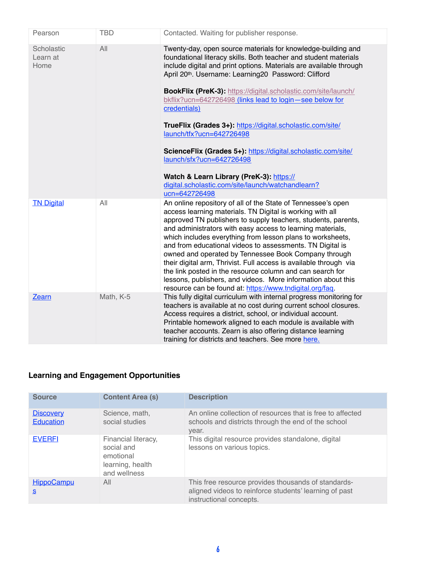| Pearson                        | <b>TBD</b> | Contacted. Waiting for publisher response.                                                                                                                                                                                                                                                                                                                                                                                                                                                                                                                                                                                                                                                                                   |
|--------------------------------|------------|------------------------------------------------------------------------------------------------------------------------------------------------------------------------------------------------------------------------------------------------------------------------------------------------------------------------------------------------------------------------------------------------------------------------------------------------------------------------------------------------------------------------------------------------------------------------------------------------------------------------------------------------------------------------------------------------------------------------------|
| Scholastic<br>Learn at<br>Home | All        | Twenty-day, open source materials for knowledge-building and<br>foundational literacy skills. Both teacher and student materials<br>include digital and print options. Materials are available through<br>April 20th. Username: Learning20 Password: Clifford<br><b>BookFlix (PreK-3): https://digital.scholastic.com/site/launch/</b><br>bkflix?ucn=642726498 (links lead to login - see below for<br>credentials)<br>TrueFlix (Grades 3+): https://digital.scholastic.com/site/<br>launch/tfx?ucn=642726498<br>ScienceFlix (Grades 5+): https://digital.scholastic.com/site/<br>launch/sfx?ucn=642726498<br>Watch & Learn Library (PreK-3): https://<br>digital.scholastic.com/site/launch/watchandlearn?<br>ucn=642726498 |
| <b>TN Digital</b>              | All        | An online repository of all of the State of Tennessee's open<br>access learning materials. TN Digital is working with all<br>approved TN publishers to supply teachers, students, parents,<br>and administrators with easy access to learning materials,<br>which includes everything from lesson plans to worksheets,<br>and from educational videos to assessments. TN Digital is<br>owned and operated by Tennessee Book Company through<br>their digital arm, Thrivist. Full access is available through via<br>the link posted in the resource column and can search for<br>lessons, publishers, and videos. More information about this<br>resource can be found at: https://www.tndigital.org/faq.                    |
| Zearn                          | Math, K-5  | This fully digital curriculum with internal progress monitoring for<br>teachers is available at no cost during current school closures.<br>Access requires a district, school, or individual account.<br>Printable homework aligned to each module is available with<br>teacher accounts. Zearn is also offering distance learning<br>training for districts and teachers. See more here.                                                                                                                                                                                                                                                                                                                                    |

### **Learning and Engagement Opportunities**

| <b>Source</b>                 | <b>Content Area (s)</b>                                                            | <b>Description</b>                                                                                                                       |
|-------------------------------|------------------------------------------------------------------------------------|------------------------------------------------------------------------------------------------------------------------------------------|
| <b>Discovery</b><br>Education | Science, math,<br>social studies                                                   | An online collection of resources that is free to affected<br>schools and districts through the end of the school<br>year.               |
| <b>EVERFI</b>                 | Financial literacy,<br>social and<br>emotional<br>learning, health<br>and wellness | This digital resource provides standalone, digital<br>lessons on various topics.                                                         |
| <b>HippoCampu</b><br>S        | All                                                                                | This free resource provides thousands of standards-<br>aligned videos to reinforce students' learning of past<br>instructional concepts. |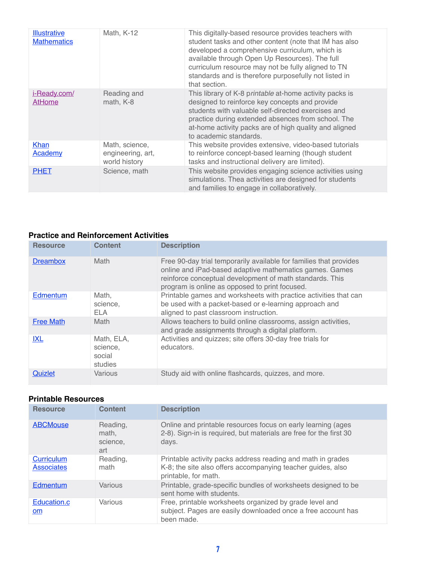| <b>Illustrative</b><br><b>Mathematics</b> | Math, K-12                                           | This digitally-based resource provides teachers with<br>student tasks and other content (note that IM has also<br>developed a comprehensive curriculum, which is<br>available through Open Up Resources). The full<br>curriculum resource may not be fully aligned to TN<br>standards and is therefore purposefully not listed in<br>that section. |
|-------------------------------------------|------------------------------------------------------|----------------------------------------------------------------------------------------------------------------------------------------------------------------------------------------------------------------------------------------------------------------------------------------------------------------------------------------------------|
| i-Ready.com/<br><b>AtHome</b>             | Reading and<br>math, K-8                             | This library of K-8 printable at-home activity packs is<br>designed to reinforce key concepts and provide<br>students with valuable self-directed exercises and<br>practice during extended absences from school. The<br>at-home activity packs are of high quality and aligned<br>to academic standards.                                          |
| Khan<br><b>Academy</b>                    | Math, science,<br>engineering, art,<br>world history | This website provides extensive, video-based tutorials<br>to reinforce concept-based learning (though student<br>tasks and instructional delivery are limited).                                                                                                                                                                                    |
| <b>PHET</b>                               | Science, math                                        | This website provides engaging science activities using<br>simulations. Thea activities are designed for students<br>and families to engage in collaboratively.                                                                                                                                                                                    |

#### **Practice and Reinforcement Activities**

| <b>Resource</b>  | <b>Content</b>                              | <b>Description</b>                                                                                                                                                                                                                          |
|------------------|---------------------------------------------|---------------------------------------------------------------------------------------------------------------------------------------------------------------------------------------------------------------------------------------------|
| <b>Dreambox</b>  | Math                                        | Free 90-day trial temporarily available for families that provides<br>online and iPad-based adaptive mathematics games. Games<br>reinforce conceptual development of math standards. This<br>program is online as opposed to print focused. |
| Edmentum         | Math.<br>science,<br>FLA                    | Printable games and worksheets with practice activities that can<br>be used with a packet-based or e-learning approach and<br>aligned to past classroom instruction.                                                                        |
| <b>Free Math</b> | Math                                        | Allows teachers to build online classrooms, assign activities,<br>and grade assignments through a digital platform.                                                                                                                         |
| <b>IXL</b>       | Math, ELA,<br>science,<br>social<br>studies | Activities and quizzes; site offers 30-day free trials for<br>educators.                                                                                                                                                                    |
| Quizlet          | Various                                     | Study aid with online flashcards, quizzes, and more.                                                                                                                                                                                        |

| <b>Resource</b>                 | <b>Content</b>                       | <b>Description</b>                                                                                                                                 |
|---------------------------------|--------------------------------------|----------------------------------------------------------------------------------------------------------------------------------------------------|
| <b>ABCMouse</b>                 | Reading,<br>math,<br>science,<br>art | Online and printable resources focus on early learning (ages<br>2-8). Sign-in is required, but materials are free for the first 30<br>days.        |
| Curriculum<br><b>Associates</b> | Reading,<br>math                     | Printable activity packs address reading and math in grades<br>K-8; the site also offers accompanying teacher guides, also<br>printable, for math. |
| Edmentum                        | Various                              | Printable, grade-specific bundles of worksheets designed to be<br>sent home with students.                                                         |
| Education.c<br><b>om</b>        | Various                              | Free, printable worksheets organized by grade level and<br>subject. Pages are easily downloaded once a free account has<br>been made.              |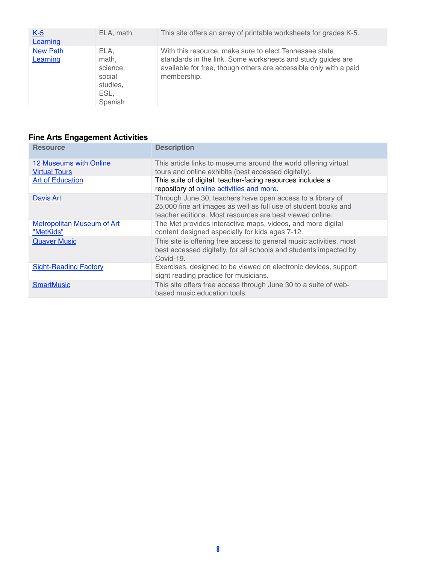| $K-5$<br>Learning           | ELA, math                                                          | This site offers an array of printable worksheets for grades K-5.                                                                                                                                         |
|-----------------------------|--------------------------------------------------------------------|-----------------------------------------------------------------------------------------------------------------------------------------------------------------------------------------------------------|
| <b>New Path</b><br>Learning | ELA.<br>math,<br>science,<br>social<br>studies,<br>ESL,<br>Spanish | With this resource, make sure to elect Tennessee state<br>standards in the link. Some worksheets and study guides are<br>available for free, though others are accessible only with a paid<br>membership. |

#### **Fine Arts Engagement Activities**

| <b>Resource</b>                                | <b>Description</b>                                                                                                                                                                        |
|------------------------------------------------|-------------------------------------------------------------------------------------------------------------------------------------------------------------------------------------------|
| 12 Museums with Online<br><b>Virtual Tours</b> | This article links to museums around the world offering virtual<br>tours and online exhibits (best accessed digitally).                                                                   |
| <b>Art of Education</b>                        | This suite of digital, teacher-facing resources includes a<br>repository of online activities and more.                                                                                   |
| <b>Davis Art</b>                               | Through June 30, teachers have open access to a library of<br>25,000 fine art images as well as full use of student books and<br>teacher editions. Most resources are best viewed online. |
| <b>Metropolitan Museum of Art</b><br>"MetKids" | The Met provides interactive maps, videos, and more digital<br>content designed especially for kids ages 7-12.                                                                            |
| <b>Quaver Music</b>                            | This site is offering free access to general music activities, most<br>best accessed digitally, for all schools and students impacted by<br>Covid-19.                                     |
| <b>Sight-Reading Factory</b>                   | Exercises, designed to be viewed on electronic devices, support<br>sight reading practice for musicians.                                                                                  |
| <b>SmartMusic</b>                              | This site offers free access through June 30 to a suite of web-<br>based music education tools.                                                                                           |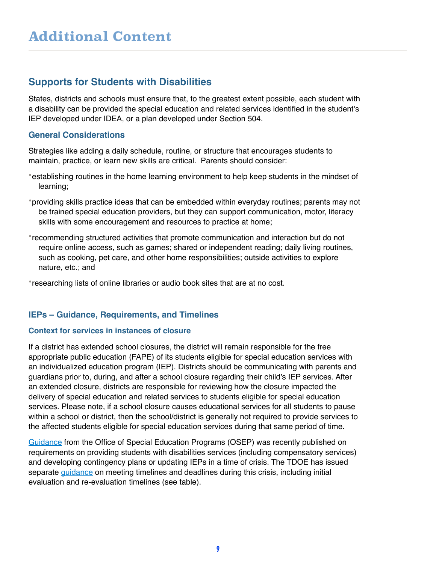# **Supports for Students with Disabilities**

 States, districts and schools must ensure that, to the greatest extent possible, each student with a disability can be provided the special education and related services identified in the student's IEP developed under IDEA, or a plan developed under Section 504.

# **General Considerations**

 Strategies like adding a daily schedule, routine, or structure that encourages students to maintain, practice, or learn new skills are critical. Parents should consider:

- •establishing routines in the home learning environment to help keep students in the mindset of learning;
- •providing skills practice ideas that can be embedded within everyday routines; parents may not be trained special education providers, but they can support communication, motor, literacy skills with some encouragement and resources to practice at home;
- •recommending structured activities that promote communication and interaction but do not require online access, such as games; shared or independent reading; daily living routines, such as cooking, pet care, and other home responsibilities; outside activities to explore nature, etc.; and
- •researching lists of online libraries or audio book sites that are at no cost.

# **IEPs – Guidance, Requirements, and Timelines**

#### **Context for services in instances of closure**

 If a district has extended school closures, the district will remain responsible for the free appropriate public education (FAPE) of its students eligible for special education services with an individualized education program (IEP). Districts should be communicating with parents and guardians prior to, during, and after a school closure regarding their child's IEP services. After an extended closure, districts are responsible for reviewing how the closure impacted the delivery of special education and related services to students eligible for special education services. Please note, if a school closure causes educational services for all students to pause within a school or district, then the school/district is generally not required to provide services to the affected students eligible for special education services during that same period of time.

[Guidance](https://www2.ed.gov/policy/speced/guid/idea/memosdcltrs/qa-covid-19-03-12-2020.pdf) from the Office of Special Education Programs (OSEP) was recently published on requirements on providing students with disabilities services (including compensatory services) and developing contingency plans or updating IEPs in a time of crisis. The TDOE has issued separate <u>[guidance](https://www.tn.gov/content/dam/tn/education/health-&-safety/Services%20to%20Students%20with%20Disabilities%20COVID-19%20Guidance.pdf)</u> on meeting timelines and deadlines during this crisis, including initial evaluation and re-evaluation timelines (see table).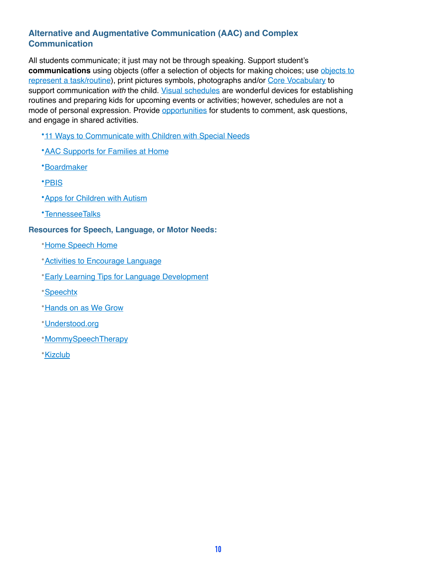# **Alternative and Augmentative Communication (AAC) and Complex Communication**

 All students communicate; it just may not be through speaking. Support student's **communications** using objects (offer a selection of objects for making choices; use [objects to](https://autismclassroomresources.com/visual-schedule-series-object-schedules_25/)  [represent a task/routine\)](https://autismclassroomresources.com/visual-schedule-series-object-schedules_25/), print pictures symbols, photographs and/or [Core Vocabulary](http://www.project-core.com/36-location/) to support communication *with* the child. <u>Visual schedules</u> are wonderful devices for establishing routines and preparing kids for upcoming events or activities; however, schedules are not a mode of personal expression. Provide *opportunities* for students to comment, ask questions, and engage in shared activities.

- *\*11 Ways to Communicate with Children with Special Needs*
- **[AAC Supports for Families at Home](https://sites.google.com/view/escdaac/aac-calendar)**
- •[Boardmaker](http://boardmakeronline.com/)
- •[PBIS](https://www.pbisworld.com/tier-2/social-stories/)
- **\*App[s for Children with Autism](https://www.bridgingapps.org/2019/04/7-best-apps-children-autism/)**
- •[TennesseeTalks](https://www.tennesseetalks.org/)

#### **Resources for Speech, Language, or Motor Needs:**

- •[Home Speech Home](https://www.home-speech-home.com/)
- •[Activities to Encourage Language](https://www.asha.org/public/speech/development/Activities-to-Encourage-Speech-and-Language-Development/)
- •[Early Learning Tips for Language Development](https://www2.ed.gov/documents/early-learning/talk-read-sing/language-en.pdf)
- •[Speechtx](http://www.speechtx.com/)
- **[Hands on as We Grow](https://handsonaswegrow.com/fine-motor-skills-activities/)**
- •[Understood.org](https://www.understood.org/en/learning-thinking-differences/child-learning-disabilities/movement-coordination-issues/6-fine-motor-activities-for-young-kids)
- •[MommySpeechTherapy](http://mommtspeechtherapy.com/)
- •[Kizclub](http://www.kizclub.com/)